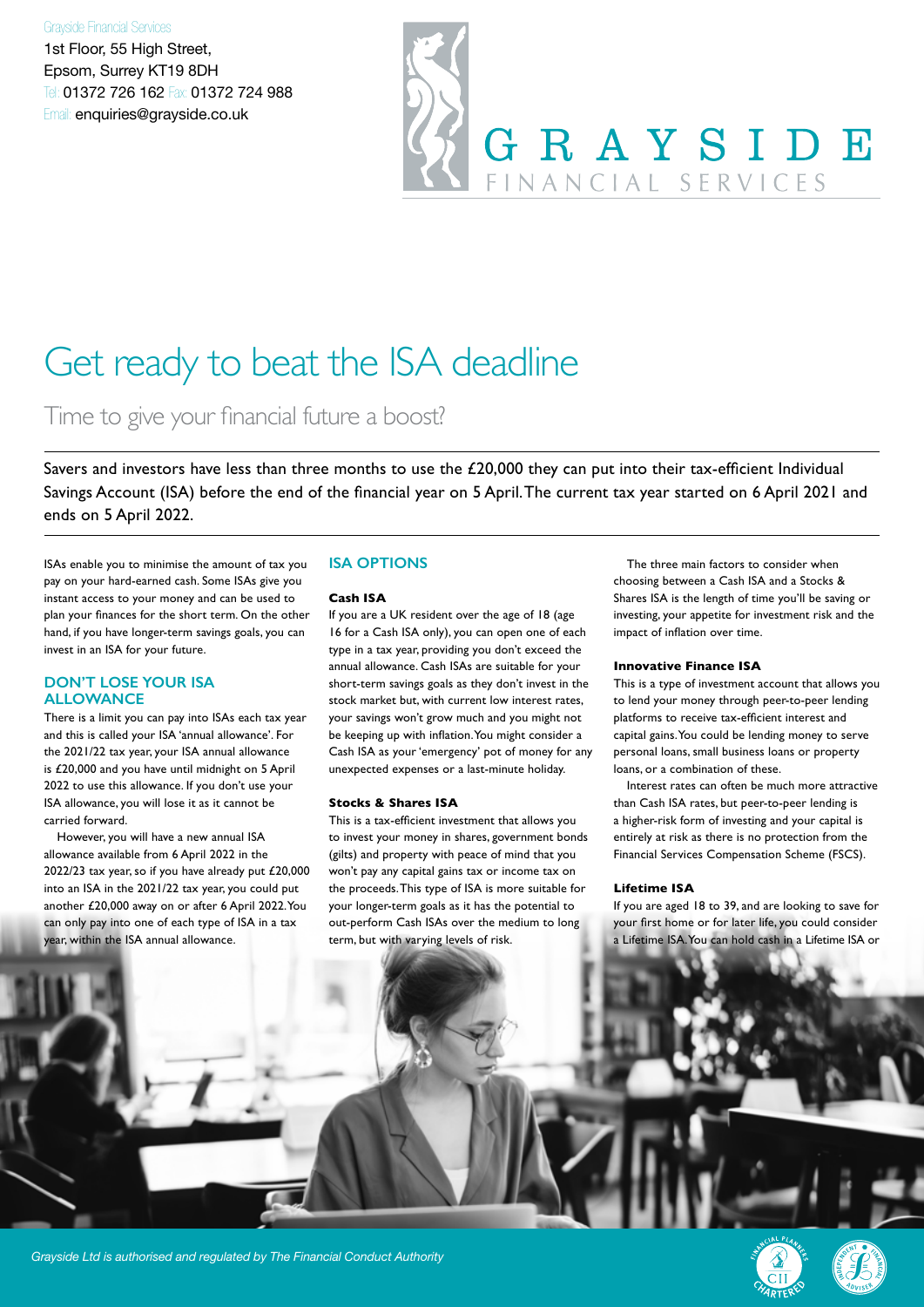#### Grayside Financial Services

1st Floor, 55 High Street, Epsom, Surrey KT19 8DH Tel: 01372 726 162 Fax: 01372 724 988 Email: enquiries@grayside.co.uk



# Get ready to beat the ISA deadline

Time to give your financial future a boost?

Savers and investors have less than three months to use the £20,000 they can put into their tax-efficient Individual Savings Account (ISA) before the end of the financial year on 5 April. The current tax year started on 6 April 2021 and ends on 5 April 2022.

ISAs enable you to minimise the amount of tax you pay on your hard-earned cash. Some ISAs give you instant access to your money and can be used to plan your finances for the short term. On the other hand, if you have longer-term savings goals, you can invest in an ISA for your future.

#### **DON'T LOSE YOUR ISA ALLOWANCE**

There is a limit you can pay into ISAs each tax year and this is called your ISA 'annual allowance'. For the 2021/22 tax year, your ISA annual allowance is £20,000 and you have until midnight on 5 April 2022 to use this allowance. If you don't use your ISA allowance, you will lose it as it cannot be carried forward.

However, you will have a new annual ISA allowance available from 6 April 2022 in the 2022/23 tax year, so if you have already put £20,000 into an ISA in the 2021/22 tax year, you could put another £20,000 away on or after 6 April 2022. You can only pay into one of each type of ISA in a tax year, within the ISA annual allowance.

### **ISA OPTIONS**

#### **Cash ISA**

If you are a UK resident over the age of 18 (age 16 for a Cash ISA only), you can open one of each type in a tax year, providing you don't exceed the annual allowance. Cash ISAs are suitable for your short-term savings goals as they don't invest in the stock market but, with current low interest rates, your savings won't grow much and you might not be keeping up with inflation. You might consider a Cash ISA as your 'emergency' pot of money for any unexpected expenses or a last-minute holiday.

#### **Stocks & Shares ISA**

This is a tax-efficient investment that allows you to invest your money in shares, government bonds (gilts) and property with peace of mind that you won't pay any capital gains tax or income tax on the proceeds. This type of ISA is more suitable for your longer-term goals as it has the potential to out-perform Cash ISAs over the medium to long term, but with varying levels of risk.

The three main factors to consider when choosing between a Cash ISA and a Stocks & Shares ISA is the length of time you'll be saving or investing, your appetite for investment risk and the impact of inflation over time.

#### **Innovative Finance ISA**

This is a type of investment account that allows you to lend your money through peer-to-peer lending platforms to receive tax-efficient interest and capital gains. You could be lending money to serve personal loans, small business loans or property loans, or a combination of these.

Interest rates can often be much more attractive than Cash ISA rates, but peer-to-peer lending is a higher-risk form of investing and your capital is entirely at risk as there is no protection from the Financial Services Compensation Scheme (FSCS).

#### **Lifetime ISA**

If you are aged 18 to 39, and are looking to save for your first home or for later life, you could consider a Lifetime ISA. You can hold cash in a Lifetime ISA or